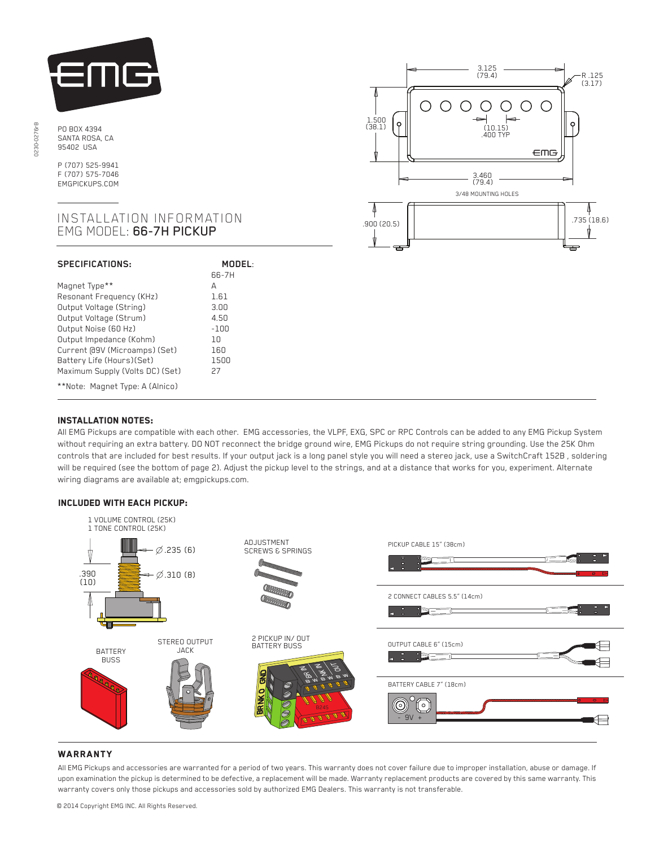

PO BOX 4394 SANTA ROSA, CA 95402 USA

P (707) 525-9941 F (707) 575-7046 EMGPICKUPS.COM

## INSTALLATION INFORMATION EMG MODEL: 66-7H PICKUP

| <b>SPECIFICATIONS:</b>          | MODEL:<br>66-7H |
|---------------------------------|-----------------|
| Magnet Type**                   | А               |
| Resonant Frequency (KHz)        | 1.61            |
| Output Voltage (String)         | 3.00            |
| Output Voltage (Strum)          | 4.50            |
| Output Noise (60 Hz)            | $-100$          |
| Output Impedance (Kohm)         | חו              |
| Current @9V (Microamps) (Set)   | 160             |
| Battery Life (Hours) (Set)      | 1500            |
| Maximum Supply (Volts DC) (Set) | 27              |
| **Note: Magnet Type: A (Alnico) |                 |



# Installation notes:

j

-

 All EMG Pickups are compatible with each other. EMG accessories, the VLPF, EXG, SPC or RPC Controls can be added to any EMG Pickup System without requiring an extra battery. DO NOT reconnect the bridge ground wire, EMG Pickups do not require string grounding. Use the 25K Ohm controls that are included for best results. If your output jack is a long panel style you will need a stereo jack, use a SwitchCraft 152B , soldering will be required (see the bottom of page 2). Adjust the pickup level to the strings, and at a distance that works for you, experiment. Alternate wiring diagrams are available at; emgpickups.com.

### Included with each pickup:



### **WARRANTY**

All EMG Pickups and accessories are warranted for a period of two years. This warranty does not cover failure due to improper installation, abuse or damage. If upon examination the pickup is determined to be defective, a replacement will be made. Warranty replacement products are covered by this same warranty. This warranty covers only those pickups and accessories sold by authorized EMG Dealers. This warranty is not transferable.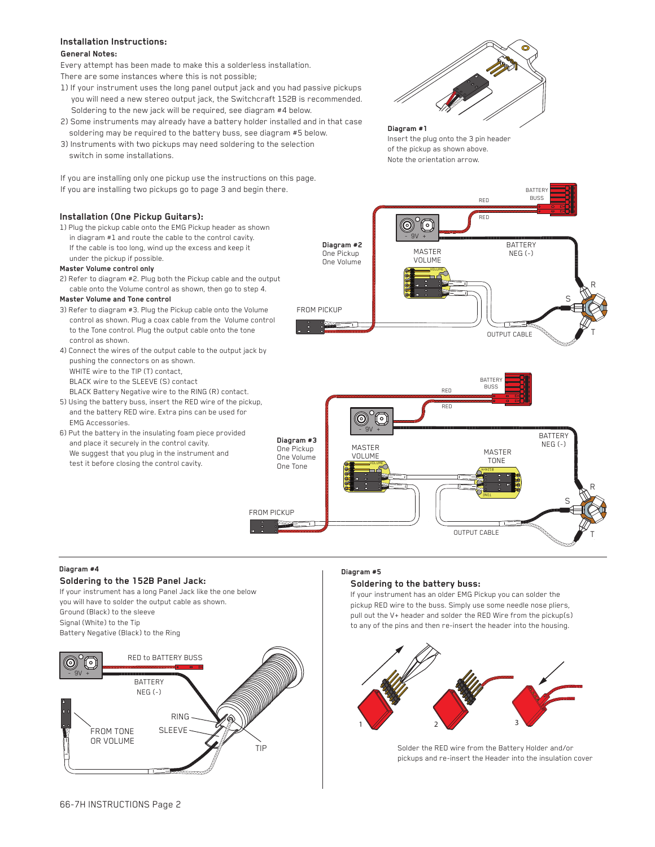## **Installation Instructions:**

### **General Notes:**

Every attempt has been made to make this a solderless installation. There are some instances where this is not possible;

- 1) If your instrument uses the long panel output jack and you had passive pickups you will need a new stereo output jack, the Switchcraft 152B is recommended. Soldering to the new jack will be required, see diagram #4 below.
- 2) Some instruments may already have a battery holder installed and in that case soldering may be required to the battery buss, see diagram #5 below.
- 3) Instruments with two pickups may need soldering to the selection switch in some installations.

If you are installing only one pickup use the instructions on this page. If you are installing two pickups go to page 3 and begin there.

### **Installation (One Pickup Guitars):**

1) Plug the pickup cable onto the EMG Pickup header as shown in diagram #1 and route the cable to the control cavity. If the cable is too long, wind up the excess and keep it under the pickup if possible.

### **Master Volume control only**

2) Refer to diagram #2. Plug both the Pickup cable and the output cable onto the Volume control as shown, then go to step 4.

### **Master Volume and Tone control**

- 3) Refer to diagram #3. Plug the Pickup cable onto the Volume control as shown. Plug a coax cable from the Volume control to the Tone control. Plug the output cable onto the tone control as shown.
- 4) Connect the wires of the output cable to the output jack by pushing the connectors on as shown. WHITE wire to the TIP (T) contact, BLACK wire to the SLEEVE (S) contact BLACK Battery Negative wire to the RING (R) contact.
- 5) Using the battery buss, insert the RED wire of the pickup, and the battery RED wire. Extra pins can be used for EMG Accessories.
- 6) Put the battery in the insulating foam piece provided and place it securely in the control cavity. We suggest that you plug in the instrument and test it before closing the control cavity.



**Diagram #1** Insert the plug onto the 3 pin header of the pickup as shown above. Note the orientation arrow.





### **Diagram #4**

# **Soldering to the 152B Panel Jack:**

If your instrument has a long Panel Jack like the one below you will have to solder the output cable as shown. Ground (Black) to the sleeve Signal (White) to the Tip Battery Negative (Black) to the Ring



### **Diagram #5**

### **Soldering to the battery buss:**

If your instrument has an older EMG Pickup you can solder the pickup RED wire to the buss. Simply use some needle nose pliers, pull out the V+ header and solder the RED Wire from the pickup(s) to any of the pins and then re-insert the header into the housing.



Solder the RED wire from the Battery Holder and/or pickups and re-insert the Header into the insulation cover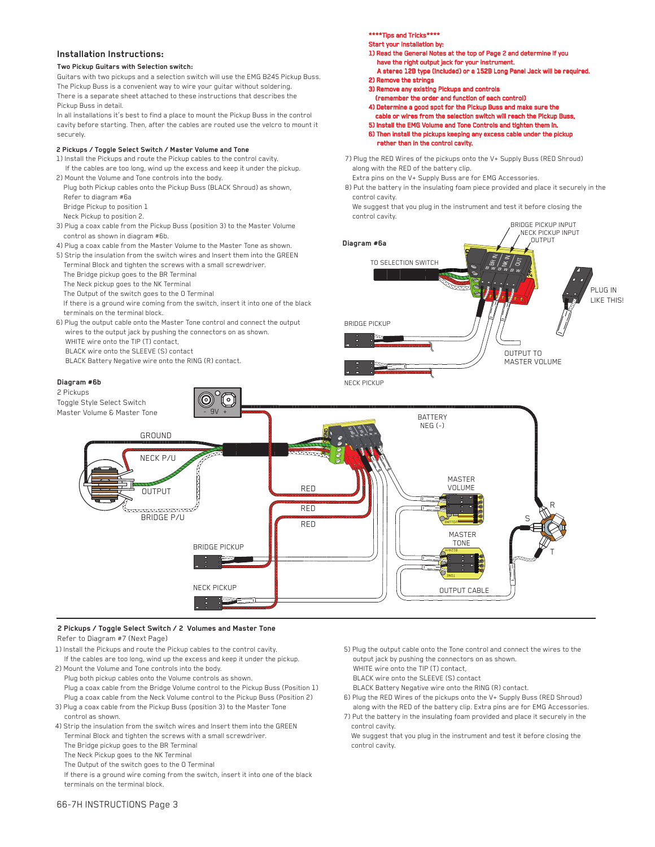### **Installation Instructions:**

#### **Two Pickup Guitars with Selection switch:**

Guitars with two pickups and a selection switch will use the EMG B245 Pickup Buss. The Pickup Buss is a convenient way to wire your guitar without soldering. There is a separate sheet attached to these instructions that describes the Pickup Buss in detail.

In all installations it's best to find a place to mount the Pickup Buss in the control cavity before starting. Then, after the cables are routed use the velcro to mount it securely.

#### **2 Pickups / Toggle Select Switch / Master Volume and Tone**

- 1) Install the Pickups and route the Pickup cables to the control cavity. If the cables are too long, wind up the excess and keep it under the pickup.
- 2) Mount the Volume and Tone controls into the body. Plug both Pickup cables onto the Pickup Buss (BLACK Shroud) as shown,
	- Refer to diagram #6a
- Bridge Pickup to position 1
- Neck Pickup to position 2.
- 3) Plug a coax cable from the Pickup Buss (position 3) to the Master Volume control as shown in diagram #6b.
- 4) Plug a coax cable from the Master Volume to the Master Tone as shown.
- 5) Strip the insulation from the switch wires and Insert them into the GREEN Terminal Block and tighten the screws with a small screwdriver.
- The Bridge pickup goes to the BR Terminal
- The Neck pickup goes to the NK Terminal
- The Output of the switch goes to the O Terminal
- If there is a ground wire coming from the switch, insert it into one of the black terminals on the terminal block.
- 6) Plug the output cable onto the Master Tone control and connect the output wires to the output jack by pushing the connectors on as shown. WHITE wire onto the TIP (T) contact,
	- BLACK wire onto the SLEEVE (S) contact
	- BLACK Battery Negative wire onto the RING (R) contact.

### **Diagram #6b**



- 1) Read the General Notes at the top of Page 2 and determine if you have the right output jack for your instrument.
- A stereo 12B type (Included) or a 152B Long Panel Jack will be required. 2) Remove the strings
- 3) Remove any existing Pickups and controls
- (remember the order and function of each control)
- 4) Determine a good spot for the Pickup Buss and make sure the cable or wires from the selection switch will reach the Pickup Buss, 5) Install the EMG Volume and Tone Controls and tighten them in. 6) Then install the pickups keeping any excess cable under the pickup rather than in the control cavity.
- 7) Plug the RED Wires of the pickups onto the V+ Supply Buss (RED Shroud) along with the RED of the battery clip.
- Extra pins on the V+ Supply Buss are for EMG Accessories.
- 8) Put the battery in the insulating foam piece provided and place it securely in the control cavity.
- We suggest that you plug in the instrument and test it before closing the control cavity.





# **2 Pickups / Toggle Select Switch / 2 Volumes and Master Tone**

- Refer to Diagram #7 (Next Page)
- 1) Install the Pickups and route the Pickup cables to the control cavity. If the cables are too long, wind up the excess and keep it under the pickup.
- 2) Mount the Volume and Tone controls into the body. Plug both pickup cables onto the Volume controls as shown. Plug a coax cable from the Bridge Volume control to the Pickup Buss (Position 1) Plug a coax cable from the Neck Volume control to the Pickup Buss (Position 2)
- 3) Plug a coax cable from the Pickup Buss (position 3) to the Master Tone control as shown.
- 4) Strip the insulation from the switch wires and Insert them into the GREEN Terminal Block and tighten the screws with a small screwdriver.
	- The Bridge pickup goes to the BR Terminal
	- The Neck Pickup goes to the NK Terminal
	- The Output of the switch goes to the O Terminal

 If there is a ground wire coming from the switch, insert it into one of the black terminals on the terminal block.

- 5) Plug the output cable onto the Tone control and connect the wires to the output jack by pushing the connectors on as shown.
- WHITE wire onto the TIP (T) contact,
- BLACK wire onto the SLEEVE (S) contact
- BLACK Battery Negative wire onto the RING (R) contact.
- 6) Plug the RED Wires of the pickups onto the V+ Supply Buss (RED Shroud) along with the RED of the battery clip. Extra pins are for EMG Accessories.
- 7) Put the battery in the insulating foam provided and place it securely in the control cavity.
- We suggest that you plug in the instrument and test it before closing the control cavity.